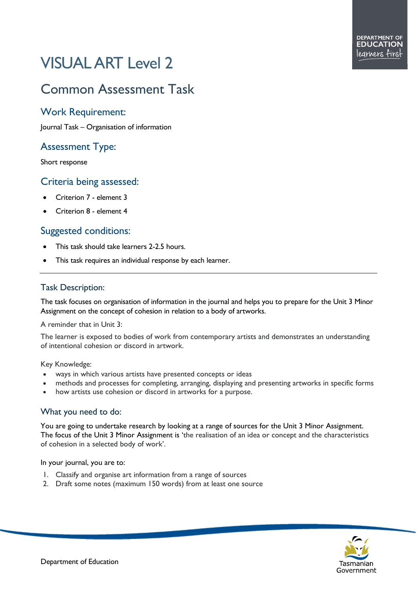# VISUAL ART Level 2

# Common Assessment Task

## Work Requirement:

Journal Task – Organisation of information

### Assessment Type:

Short response

#### Criteria being assessed:

- Criterion 7 element 3
- Criterion 8 element 4

#### Suggested conditions:

- This task should take learners 2-2.5 hours.
- This task requires an individual response by each learner.

#### Task Description:

The task focuses on organisation of information in the journal and helps you to prepare for the Unit 3 Minor Assignment on the concept of cohesion in relation to a body of artworks.

A reminder that in Unit 3:

The learner is exposed to bodies of work from contemporary artists and demonstrates an understanding of intentional cohesion or discord in artwork.

Key Knowledge:

- ways in which various artists have presented concepts or ideas
- methods and processes for completing, arranging, displaying and presenting artworks in specific forms
- how artists use cohesion or discord in artworks for a purpose.

#### What you need to do:

You are going to undertake research by looking at a range of sources for the Unit 3 Minor Assignment. The focus of the Unit 3 Minor Assignment is 'the realisation of an idea or concept and the characteristics of cohesion in a selected body of work'.

In your journal, you are to:

- 1. Classify and organise art information from a range of sources
- 2. Draft some notes (maximum 150 words) from at least one source